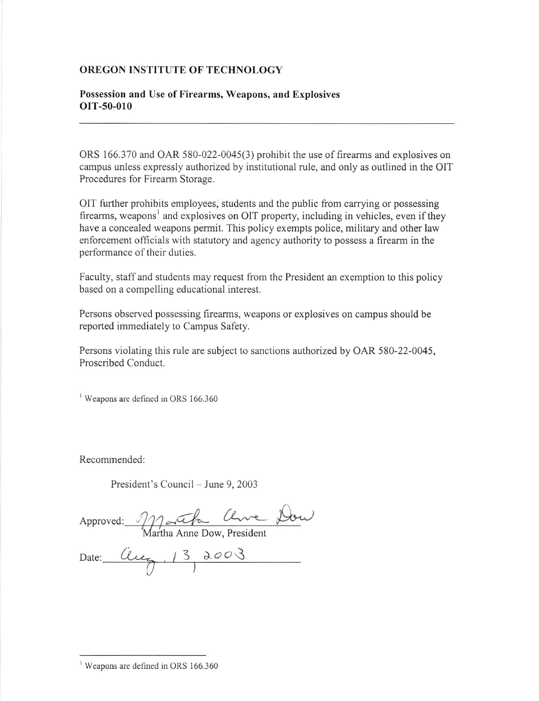## OREGON INSTITUTE OF TECHNOLOGY

## Possession and Use of Firearms, Weapons, and Explosives oIT-50-010

ORS 166.370 and OAR 580-022-0045(3) prohibit the use of firearms and explosives on campus unless expressly authorized by institutional rule, and only as outlined in the OIT Procedures for Firearm Storage.

OIT further prohibits employees, students and the public from carrying or possessing firearms, we apons<sup>1</sup> and explosives on OIT property, including in vehicles, even if they have a concealed weapons permit. This policy exempts police, military and other 1aw enforcement officials with statutory and agency authority to possess a firearm in the performance of their duties.

Faculty, staff and students may request from the President an exemption to this policy based on a compelling educational interest.

Persons observed possessing firearms, weapons or explosives on campus should be reported immediately to Campus Safety.

Persons violating this rule are subject to sanctions authorized by OAR 580-22-0045, Proscribed Conduct.

<sup>1</sup> Weapons are defined in ORS 166.360

Recommended

President's Council – June 9, 2003

Approved: e-.-\*-

a Anne Dow, President

Date : Clue, 13 2003

 $\frac{1}{1}$  Weapons are defined in ORS 166.360